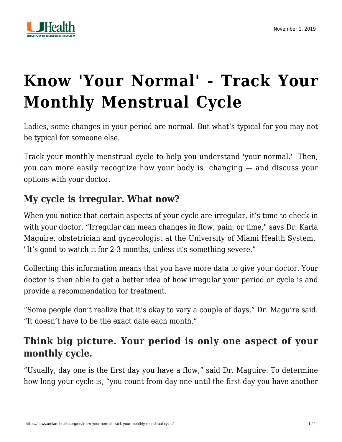

# **[Know 'Your Normal' - Track Your](https://news.umiamihealth.org/en/know-your-normal-track-your-monthly-menstrual-cycle/) [Monthly Menstrual Cycle](https://news.umiamihealth.org/en/know-your-normal-track-your-monthly-menstrual-cycle/)**

Ladies, some changes in your period are normal. But what's typical for you may not be typical for someone else.

Track your monthly menstrual cycle to help you understand 'your normal.' Then, you can more easily recognize how your body is changing — and discuss your options with your doctor.

#### **My cycle is irregular. What now?**

When you notice that certain aspects of your cycle are irregular, it's time to check-in with your doctor. "Irregular can mean changes in flow, pain, or time," says [Dr. Karla](https://doctors.umiamihealth.org/provider/Karla+E+Maguire/525059?unified=Dr.%20Karla%20Maguire&sort=relevance&tt=0e3eb731-ebae-461a-b52d-50c04f3e638e&ut=7caf4754-1d3c-4b4d-b7cb-a515fbf4e389×tamp=2019-11-01T18%3A24%3A12.414Z) [Maguire,](https://doctors.umiamihealth.org/provider/Karla+E+Maguire/525059?unified=Dr.%20Karla%20Maguire&sort=relevance&tt=0e3eb731-ebae-461a-b52d-50c04f3e638e&ut=7caf4754-1d3c-4b4d-b7cb-a515fbf4e389×tamp=2019-11-01T18%3A24%3A12.414Z) obstetrician and gynecologist at the University of Miami Health System. "It's good to watch it for 2-3 months, unless it's something severe."

Collecting this information means that you have more data to give your doctor. Your doctor is then able to get a better idea of how irregular your period or cycle is and provide a recommendation for treatment.

"Some people don't realize that it's okay to vary a couple of days," Dr. Maguire said. "It doesn't have to be the exact date each month."

## **Think big picture. Your period is only one aspect of your monthly cycle.**

"Usually, day one is the first day you have a flow," said Dr. Maguire. To determine how long your cycle is, "you count from day one until the first day you have another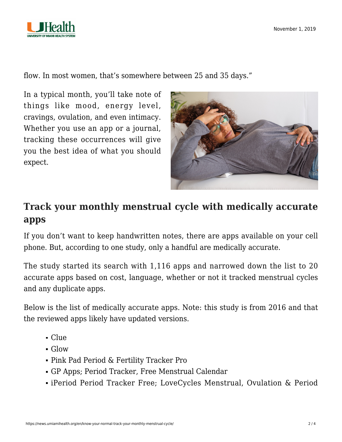

flow. In most women, that's somewhere between 25 and 35 days."

In a typical month, you'll take note of things like mood, energy level, cravings, ovulation, and even intimacy. Whether you use an app or a journal, tracking these occurrences will give you the best idea of what you should expect.



### **Track your monthly menstrual cycle with medically accurate apps**

If you don't want to keep handwritten notes, there are apps available on your cell phone. But, [according to one study](https://journals.lww.com/greenjournal/Fulltext/2016/06000/Evaluation_of_Smartphone_Menstrual_Cycle_Tracking.24.aspx), only a handful are medically accurate.

The study started its search with 1,116 apps and narrowed down the list to 20 accurate apps based on cost, language, whether or not it tracked menstrual cycles and any duplicate apps.

Below is the list of medically accurate apps. Note: [this study](https://journals.lww.com/greenjournal/Fulltext/2016/06000/Evaluation_of_Smartphone_Menstrual_Cycle_Tracking.24.aspx) is from 2016 and that the reviewed apps likely have updated versions.

- Clue
- Glow
- Pink Pad Period & Fertility Tracker Pro
- GP Apps; Period Tracker, Free Menstrual Calendar
- iPeriod Period Tracker Free; LoveCycles Menstrual, Ovulation & Period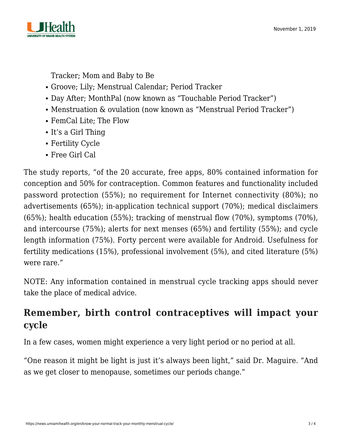

Tracker; Mom and Baby to Be

- Groove; Lily; Menstrual Calendar; Period Tracker
- Day After; MonthPal (now known as "Touchable Period Tracker")
- Menstruation & ovulation (now known as "Menstrual Period Tracker")
- FemCal Lite; The Flow
- It's a Girl Thing
- Fertility Cycle
- Free Girl Cal

The study reports, "of the 20 accurate, free apps, 80% contained information for conception and 50% for contraception. Common features and functionality included password protection (55%); no requirement for Internet connectivity (80%); no advertisements (65%); in-application technical support (70%); medical disclaimers (65%); health education (55%); tracking of menstrual flow (70%), symptoms (70%), and intercourse (75%); alerts for next menses (65%) and fertility (55%); and cycle length information (75%). Forty percent were available for Android. Usefulness for fertility medications (15%), professional involvement (5%), and cited literature (5%) were rare."

NOTE: Any information contained in menstrual cycle tracking apps should never take the place of medical advice.

## **Remember, birth control contraceptives will impact your cycle**

In a few cases, women might experience a very light period or no period at all.

"One reason it might be light is just it's always been light," said Dr. Maguire. "And as we get closer to menopause, sometimes our periods change."